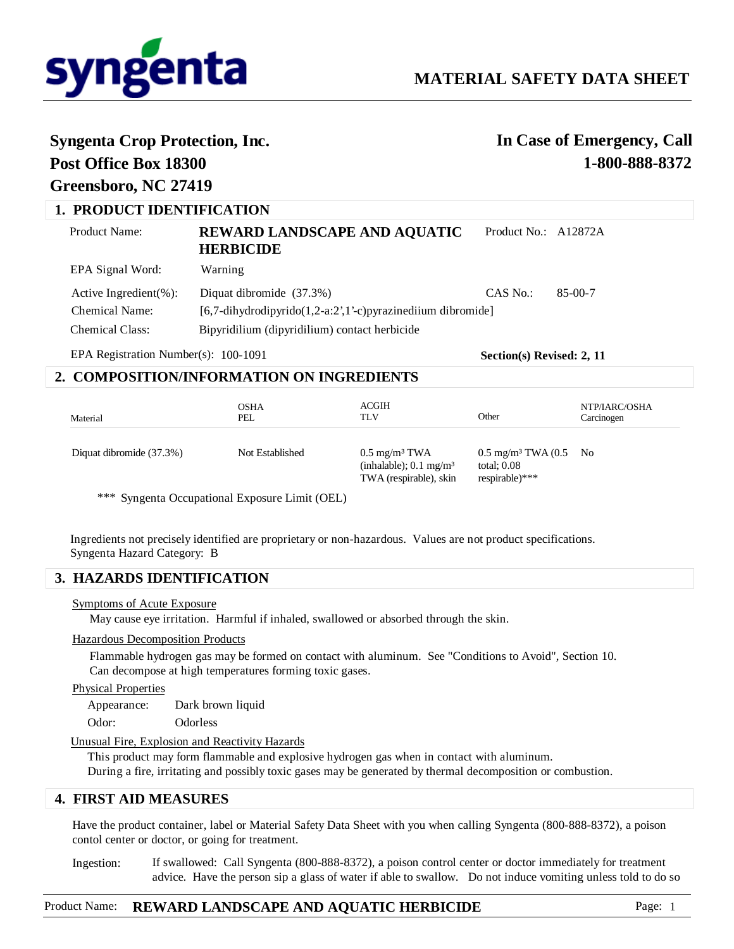

# **Syngenta Crop Protection, Inc. Post Office Box 18300**

# **In Case of Emergency, Call 1-800-888-8372**

# **1. PRODUCT IDENTIFICATION**

**Greensboro, NC 27419**

| EPA Signal Word:<br>Warning<br>Diquat dibromide (37.3%)<br>$CAS$ No.:<br>85-00-7<br>Active Ingredient $(\% )$ :<br>Chemical Name:<br>$[6,7$ -dihydrodipyrido $(1,2-a:2,1)$ '-c)pyrazinediium dibromide<br><b>Chemical Class:</b> | <b>Product Name:</b> | <b>REWARD LANDSCAPE AND AQUATIC</b><br><b>HERBICIDE</b> | Product No.: A12872A |  |
|----------------------------------------------------------------------------------------------------------------------------------------------------------------------------------------------------------------------------------|----------------------|---------------------------------------------------------|----------------------|--|
|                                                                                                                                                                                                                                  |                      |                                                         |                      |  |
|                                                                                                                                                                                                                                  |                      | Bipyridilium (dipyridilium) contact herbicide           |                      |  |

EPA Registration Number(s): 100-1091

**Section(s) Revised: 2, 11**

### **2. COMPOSITION/INFORMATION ON INGREDIENTS**

| Material                 | <b>OSHA</b><br>PEL | ACGIH<br>TLV                                                                            | Other                                                                          | NTP/IARC/OSHA<br>Carcinogen |
|--------------------------|--------------------|-----------------------------------------------------------------------------------------|--------------------------------------------------------------------------------|-----------------------------|
| Diquat dibromide (37.3%) | Not Established    | $0.5 \text{ mg/m}^3$ TWA<br>(inhalable); $0.1 \text{ mg/m}^3$<br>TWA (respirable), skin | $0.5 \text{ mg/m}^3$ TWA $(0.5 \text{ No})$<br>total; $0.08$<br>respirable)*** |                             |

\*\*\* Syngenta Occupational Exposure Limit (OEL)

Ingredients not precisely identified are proprietary or non-hazardous. Values are not product specifications. Syngenta Hazard Category: B

# **3. HAZARDS IDENTIFICATION**

#### Symptoms of Acute Exposure

May cause eye irritation. Harmful if inhaled, swallowed or absorbed through the skin.

#### Hazardous Decomposition Products

Flammable hydrogen gas may be formed on contact with aluminum. See "Conditions to Avoid", Section 10. Can decompose at high temperatures forming toxic gases.

Physical Properties

Appearance: Dark brown liquid Odor: Odorless

Unusual Fire, Explosion and Reactivity Hazards

This product may form flammable and explosive hydrogen gas when in contact with aluminum. During a fire, irritating and possibly toxic gases may be generated by thermal decomposition or combustion.

### **4. FIRST AID MEASURES**

Have the product container, label or Material Safety Data Sheet with you when calling Syngenta (800-888-8372), a poison contol center or doctor, or going for treatment.

If swallowed: Call Syngenta (800-888-8372), a poison control center or doctor immediately for treatment advice. Have the person sip a glass of water if able to swallow. Do not induce vomiting unless told to do so Ingestion: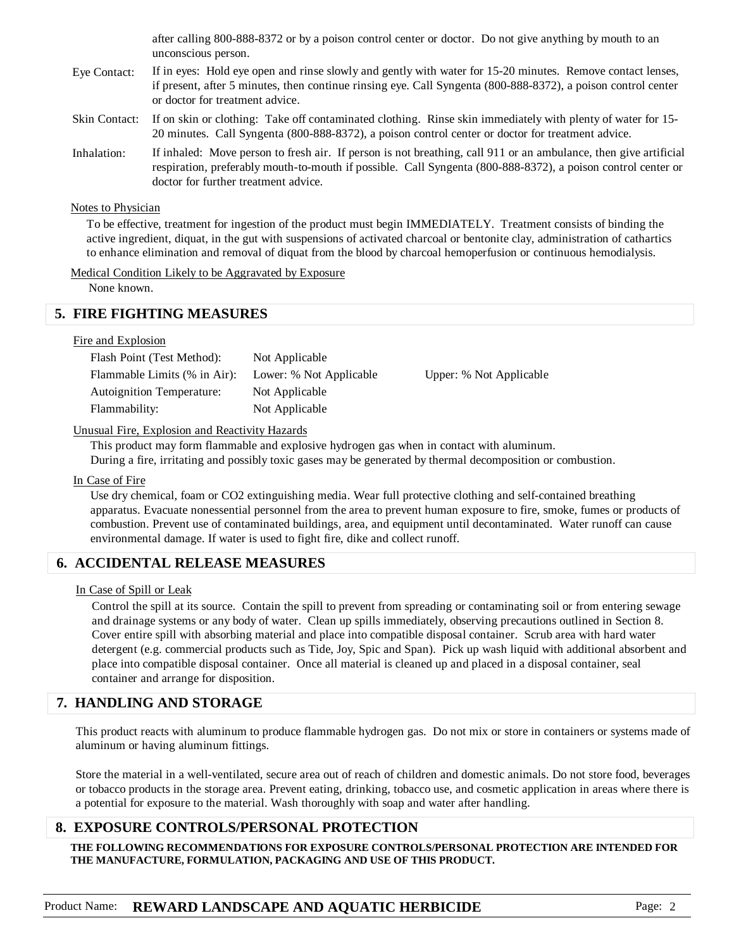after calling 800-888-8372 or by a poison control center or doctor. Do not give anything by mouth to an unconscious person.

- If in eyes: Hold eye open and rinse slowly and gently with water for 15-20 minutes. Remove contact lenses, if present, after 5 minutes, then continue rinsing eye. Call Syngenta (800-888-8372), a poison control center or doctor for treatment advice. Eye Contact:
- If on skin or clothing: Take off contaminated clothing. Rinse skin immediately with plenty of water for 15- 20 minutes. Call Syngenta (800-888-8372), a poison control center or doctor for treatment advice. Skin Contact:
- If inhaled: Move person to fresh air. If person is not breathing, call 911 or an ambulance, then give artificial respiration, preferably mouth-to-mouth if possible. Call Syngenta (800-888-8372), a poison control center or doctor for further treatment advice. Inhalation:

#### Notes to Physician

To be effective, treatment for ingestion of the product must begin IMMEDIATELY. Treatment consists of binding the active ingredient, diquat, in the gut with suspensions of activated charcoal or bentonite clay, administration of cathartics to enhance elimination and removal of diquat from the blood by charcoal hemoperfusion or continuous hemodialysis.

#### Medical Condition Likely to be Aggravated by Exposure

None known.

# **5. FIRE FIGHTING MEASURES**

### Fire and Explosion

| Flash Point (Test Method):       | Not Applicable          |                         |
|----------------------------------|-------------------------|-------------------------|
| Flammable Limits (% in Air):     | Lower: % Not Applicable | Upper: % Not Applicable |
| <b>Autoignition Temperature:</b> | Not Applicable          |                         |
| Flammability:                    | Not Applicable          |                         |

### Unusual Fire, Explosion and Reactivity Hazards

This product may form flammable and explosive hydrogen gas when in contact with aluminum. During a fire, irritating and possibly toxic gases may be generated by thermal decomposition or combustion.

#### In Case of Fire

Use dry chemical, foam or CO2 extinguishing media. Wear full protective clothing and self-contained breathing apparatus. Evacuate nonessential personnel from the area to prevent human exposure to fire, smoke, fumes or products of combustion. Prevent use of contaminated buildings, area, and equipment until decontaminated. Water runoff can cause environmental damage. If water is used to fight fire, dike and collect runoff.

# **6. ACCIDENTAL RELEASE MEASURES**

### In Case of Spill or Leak

Control the spill at its source. Contain the spill to prevent from spreading or contaminating soil or from entering sewage and drainage systems or any body of water. Clean up spills immediately, observing precautions outlined in Section 8. Cover entire spill with absorbing material and place into compatible disposal container. Scrub area with hard water detergent (e.g. commercial products such as Tide, Joy, Spic and Span). Pick up wash liquid with additional absorbent and place into compatible disposal container. Once all material is cleaned up and placed in a disposal container, seal container and arrange for disposition.

# **7. HANDLING AND STORAGE**

This product reacts with aluminum to produce flammable hydrogen gas. Do not mix or store in containers or systems made of aluminum or having aluminum fittings.

Store the material in a well-ventilated, secure area out of reach of children and domestic animals. Do not store food, beverages or tobacco products in the storage area. Prevent eating, drinking, tobacco use, and cosmetic application in areas where there is a potential for exposure to the material. Wash thoroughly with soap and water after handling.

### **8. EXPOSURE CONTROLS/PERSONAL PROTECTION**

**THE FOLLOWING RECOMMENDATIONS FOR EXPOSURE CONTROLS/PERSONAL PROTECTION ARE INTENDED FOR THE MANUFACTURE, FORMULATION, PACKAGING AND USE OF THIS PRODUCT.**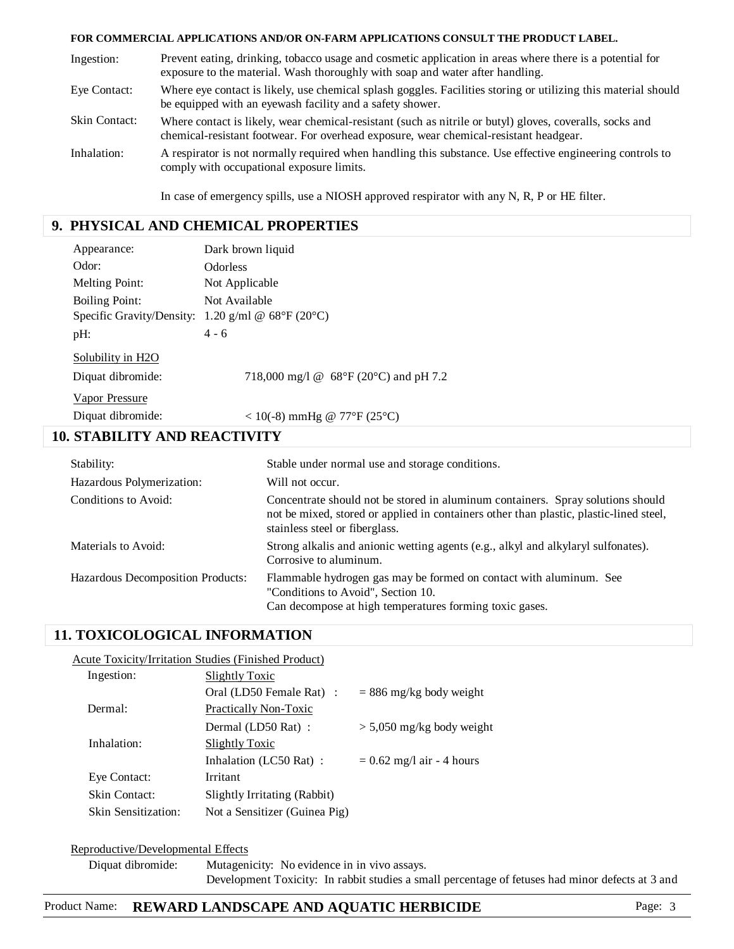#### **FOR COMMERCIAL APPLICATIONS AND/OR ON-FARM APPLICATIONS CONSULT THE PRODUCT LABEL.**

| Ingestion:           | Prevent eating, drinking, tobacco usage and cosmetic application in areas where there is a potential for<br>exposure to the material. Wash thoroughly with soap and water after handling.         |
|----------------------|---------------------------------------------------------------------------------------------------------------------------------------------------------------------------------------------------|
| Eye Contact:         | Where eye contact is likely, use chemical splash goggles. Facilities storing or utilizing this material should<br>be equipped with an eyewash facility and a safety shower.                       |
| <b>Skin Contact:</b> | Where contact is likely, wear chemical-resistant (such as nitrile or butyl) gloves, coveralls, socks and<br>chemical-resistant footwear. For overhead exposure, wear chemical-resistant headgear. |
| Inhalation:          | A respirator is not normally required when handling this substance. Use effective engineering controls to<br>comply with occupational exposure limits.                                            |
|                      | In case of emergency spills, use a NIOSH approved respirator with any N, R, P or HE filter.                                                                                                       |

# **9. PHYSICAL AND CHEMICAL PROPERTIES**

| Appearance:                         | Dark brown liquid                                                                                                                                                                                           |
|-------------------------------------|-------------------------------------------------------------------------------------------------------------------------------------------------------------------------------------------------------------|
| Odor:                               | <b>Odorless</b>                                                                                                                                                                                             |
| <b>Melting Point:</b>               | Not Applicable                                                                                                                                                                                              |
| <b>Boiling Point:</b>               | Not Available                                                                                                                                                                                               |
|                                     | Specific Gravity/Density: 1.20 g/ml @ $68^{\circ}F(20^{\circ}C)$                                                                                                                                            |
| pH:                                 | $4 - 6$                                                                                                                                                                                                     |
| Solubility in H2O                   |                                                                                                                                                                                                             |
| Diquat dibromide:                   | 718,000 mg/l $\omega$ 68°F (20°C) and pH 7.2                                                                                                                                                                |
| Vapor Pressure                      |                                                                                                                                                                                                             |
| Diquat dibromide:                   | < 10(-8) mmHg @ 77°F (25°C)                                                                                                                                                                                 |
| <b>10. STABILITY AND REACTIVITY</b> |                                                                                                                                                                                                             |
| Stability:                          | Stable under normal use and storage conditions.                                                                                                                                                             |
| Hazardous Polymerization:           | Will not occur.                                                                                                                                                                                             |
| Conditions to Avoid:                | Concentrate should not be stored in aluminum containers. Spray solutions should<br>not be mixed, stored or applied in containers other than plastic, plastic-lined steel,<br>stainless steel or fiberglass. |
| Materials to Avoid:                 | Strong alkalis and anionic wetting agents (e.g., alkyl and alkylaryl sulfonates).<br>Corrosive to aluminum.                                                                                                 |

Flammable hydrogen gas may be formed on contact with aluminum. See "Conditions to Avoid", Section 10. Can decompose at high temperatures forming toxic gases. Hazardous Decomposition Products:

 **11. TOXICOLOGICAL INFORMATION**

#### Acute Toxicity/Irritation Studies (Finished Product)

| Ingestion:          | <b>Slightly Toxic</b>         |                             |
|---------------------|-------------------------------|-----------------------------|
|                     | Oral (LD50 Female Rat) :      | $= 886$ mg/kg body weight   |
| Dermal:             | Practically Non-Toxic         |                             |
|                     | Dermal (LD50 Rat) :           | $> 5,050$ mg/kg body weight |
| Inhalation:         | Slightly Toxic                |                             |
|                     | Inhalation (LC50 Rat) :       | $= 0.62$ mg/l air - 4 hours |
| Eye Contact:        | Irritant                      |                             |
| Skin Contact:       | Slightly Irritating (Rabbit)  |                             |
| Skin Sensitization: | Not a Sensitizer (Guinea Pig) |                             |
|                     |                               |                             |

#### Reproductive/Developmental Effects

Diquat dibromide: Mutagenicity: No evidence in in vivo assays. Development Toxicity: In rabbit studies a small percentage of fetuses had minor defects at 3 and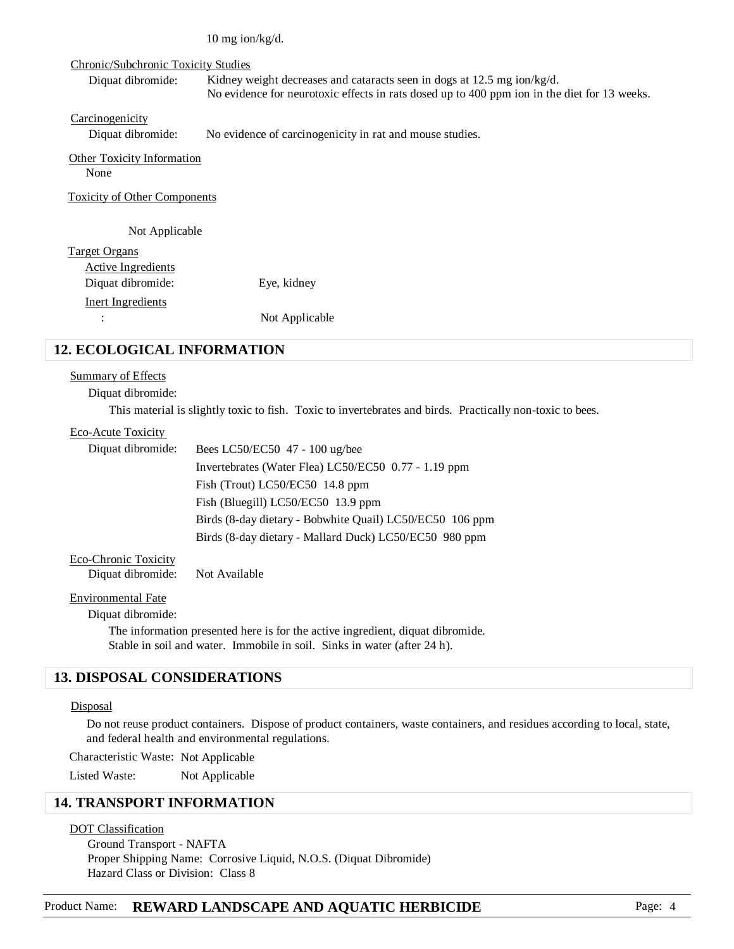10 mg ion/kg/d.

#### Chronic/Subchronic Toxicity Studies

Diquat dibromide: Kidney weight decreases and cataracts seen in dogs at 12.5 mg ion/kg/d. No evidence for neurotoxic effects in rats dosed up to 400 ppm ion in the diet for 13 weeks.

**Carcinogenicity** 

Diquat dibromide: No evidence of carcinogenicity in rat and mouse studies.

#### Other Toxicity Information None

Toxicity of Other Components

### Not Applicable

| Target Organs      |                |
|--------------------|----------------|
| Active Ingredients |                |
| Diquat dibromide:  | Eye, kidney    |
| Inert Ingredients  |                |
| ÷                  | Not Applicable |

# **12. ECOLOGICAL INFORMATION**

#### Summary of Effects

Diquat dibromide:

This material is slightly toxic to fish. Toxic to invertebrates and birds. Practically non-toxic to bees.

### Eco-Acute Toxicity

| Diquat dibromide: | Bees LC50/EC50 47 - 100 ug/bee                           |
|-------------------|----------------------------------------------------------|
|                   | Invertebrates (Water Flea) LC50/EC50 0.77 - 1.19 ppm     |
|                   | Fish (Trout) LC50/EC50 $14.8$ ppm                        |
|                   | Fish (Bluegill) LC50/EC50 13.9 ppm                       |
|                   | Birds (8-day dietary - Bobwhite Quail) LC50/EC50 106 ppm |
|                   | Birds (8-day dietary - Mallard Duck) LC50/EC50 980 ppm   |
|                   |                                                          |

Eco-Chronic Toxicity

Diquat dibromide: Not Available

#### Environmental Fate

Diquat dibromide:

The information presented here is for the active ingredient, diquat dibromide. Stable in soil and water. Immobile in soil. Sinks in water (after 24 h).

# **13. DISPOSAL CONSIDERATIONS**

#### **Disposal**

Do not reuse product containers. Dispose of product containers, waste containers, and residues according to local, state, and federal health and environmental regulations.

Characteristic Waste: Not Applicable

Listed Waste: Not Applicable

# **14. TRANSPORT INFORMATION**

#### DOT Classification

Ground Transport - NAFTA Proper Shipping Name: Corrosive Liquid, N.O.S. (Diquat Dibromide) Hazard Class or Division: Class 8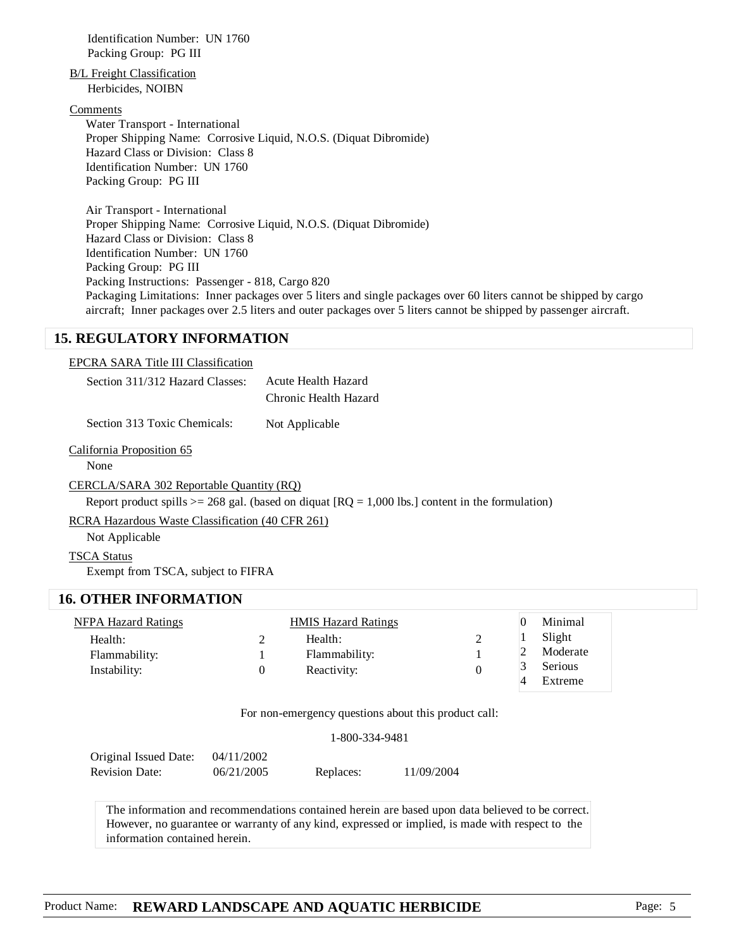Identification Number: UN 1760 Packing Group: PG III

B/L Freight Classification Herbicides, NOIBN

#### Comments

Water Transport - International Proper Shipping Name: Corrosive Liquid, N.O.S. (Diquat Dibromide) Hazard Class or Division: Class 8 Identification Number: UN 1760 Packing Group: PG III

Air Transport - International Proper Shipping Name: Corrosive Liquid, N.O.S. (Diquat Dibromide) Hazard Class or Division: Class 8 Identification Number: UN 1760 Packing Group: PG III Packing Instructions: Passenger - 818, Cargo 820 Packaging Limitations: Inner packages over 5 liters and single packages over 60 liters cannot be shipped by cargo aircraft; Inner packages over 2.5 liters and outer packages over 5 liters cannot be shipped by passenger aircraft.

### **15. REGULATORY INFORMATION**

#### EPCRA SARA Title III Classification

| Section 311/312 Hazard Classes: | Acute Health Hazard   |
|---------------------------------|-----------------------|
|                                 | Chronic Health Hazard |

Section 313 Toxic Chemicals: Not Applicable

#### California Proposition 65

None

#### CERCLA/SARA 302 Reportable Quantity (RQ)

Report product spills  $>= 268$  gal. (based on diquat  $[RO = 1,000$  lbs.) content in the formulation)

RCRA Hazardous Waste Classification (40 CFR 261)

Not Applicable

#### TSCA Status

Exempt from TSCA, subject to FIFRA

### **16. OTHER INFORMATION**

| <b>NFPA Hazard Ratings</b> | <b>HMIS Hazard Ratings</b> |   | Minimal  |
|----------------------------|----------------------------|---|----------|
| Health:                    | Health:                    | ∸ | Slight   |
| Flammability:              | Flammability:              |   | Moderate |
| Instability:               | Reactivity:                |   | Serious  |
|                            |                            |   | Extreme  |

For non-emergency questions about this product call:

1-800-334-9481

| Original Issued Date: | 04/11/2002 |           |            |
|-----------------------|------------|-----------|------------|
| <b>Revision Date:</b> | 06/21/2005 | Replaces: | 11/09/2004 |

 The information and recommendations contained herein are based upon data believed to be correct. However, no guarantee or warranty of any kind, expressed or implied, is made with respect to the information contained herein.